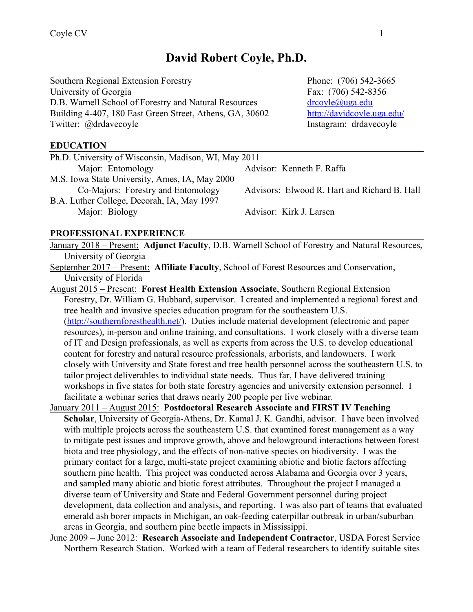# **David Robert Coyle, Ph.D.**

Southern Regional Extension Forestry Phone: (706) 542-3665 University of Georgia Fax: (706) 542-8356 D.B. Warnell School of Forestry and Natural Resources drcoyle@uga.edu Building 4-407, 180 East Green Street, Athens, GA, 30602 http://davidcoyle.uga.edu/ Twitter: @drdavecoyle Instagram: drdavecoyle

**EDUCATION** 

| Ph.D. University of Wisconsin, Madison, WI, May 2011 |                                              |
|------------------------------------------------------|----------------------------------------------|
| Major: Entomology                                    | Advisor: Kenneth F. Raffa                    |
| M.S. Iowa State University, Ames, IA, May 2000       |                                              |
| Co-Majors: Forestry and Entomology                   | Advisors: Elwood R. Hart and Richard B. Hall |
| B.A. Luther College, Decorah, IA, May 1997           |                                              |
| Major: Biology                                       | Advisor: Kirk J. Larsen                      |

#### **PROFESSIONAL EXPERIENCE**

January 2018 – Present: **Adjunct Faculty**, D.B. Warnell School of Forestry and Natural Resources, University of Georgia

September 2017 – Present: **Affiliate Faculty**, School of Forest Resources and Conservation, University of Florida

August 2015 – Present: **Forest Health Extension Associate**, Southern Regional Extension Forestry, Dr. William G. Hubbard, supervisor. I created and implemented a regional forest and tree health and invasive species education program for the southeastern U.S. (http://southernforesthealth.net/). Duties include material development (electronic and paper resources), in-person and online training, and consultations. I work closely with a diverse team of IT and Design professionals, as well as experts from across the U.S. to develop educational content for forestry and natural resource professionals, arborists, and landowners. I work closely with University and State forest and tree health personnel across the southeastern U.S. to tailor project deliverables to individual state needs. Thus far, I have delivered training workshops in five states for both state forestry agencies and university extension personnel. I facilitate a webinar series that draws nearly 200 people per live webinar.

- January 2011 August 2015: **Postdoctoral Research Associate and FIRST IV Teaching Scholar**, University of Georgia-Athens, Dr. Kamal J. K. Gandhi, advisor. I have been involved with multiple projects across the southeastern U.S. that examined forest management as a way to mitigate pest issues and improve growth, above and belowground interactions between forest biota and tree physiology, and the effects of non-native species on biodiversity. I was the primary contact for a large, multi-state project examining abiotic and biotic factors affecting southern pine health. This project was conducted across Alabama and Georgia over 3 years, and sampled many abiotic and biotic forest attributes. Throughout the project I managed a diverse team of University and State and Federal Government personnel during project development, data collection and analysis, and reporting. I was also part of teams that evaluated emerald ash borer impacts in Michigan, an oak-feeding caterpillar outbreak in urban/suburban areas in Georgia, and southern pine beetle impacts in Mississippi.
- June 2009 June 2012: **Research Associate and Independent Contractor**, USDA Forest Service Northern Research Station. Worked with a team of Federal researchers to identify suitable sites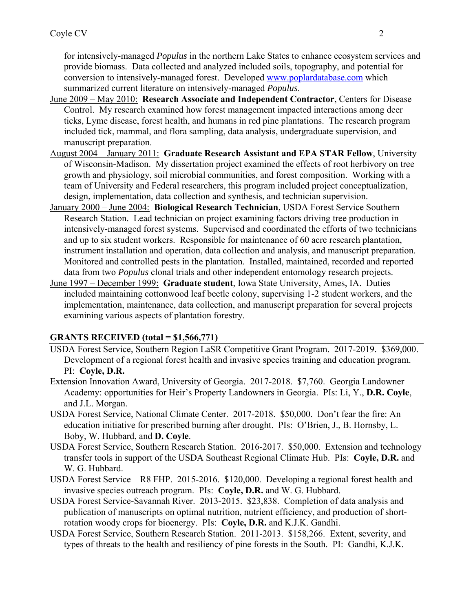for intensively-managed *Populus* in the northern Lake States to enhance ecosystem services and provide biomass. Data collected and analyzed included soils, topography, and potential for conversion to intensively-managed forest. Developed www.poplardatabase.com which summarized current literature on intensively-managed *Populus*.

- June 2009 May 2010: **Research Associate and Independent Contractor**, Centers for Disease Control. My research examined how forest management impacted interactions among deer ticks, Lyme disease, forest health, and humans in red pine plantations. The research program included tick, mammal, and flora sampling, data analysis, undergraduate supervision, and manuscript preparation.
- August 2004 January 2011: **Graduate Research Assistant and EPA STAR Fellow**, University of Wisconsin-Madison. My dissertation project examined the effects of root herbivory on tree growth and physiology, soil microbial communities, and forest composition. Working with a team of University and Federal researchers, this program included project conceptualization, design, implementation, data collection and synthesis, and technician supervision.
- January 2000 June 2004: **Biological Research Technician**, USDA Forest Service Southern Research Station. Lead technician on project examining factors driving tree production in intensively-managed forest systems. Supervised and coordinated the efforts of two technicians and up to six student workers. Responsible for maintenance of 60 acre research plantation, instrument installation and operation, data collection and analysis, and manuscript preparation. Monitored and controlled pests in the plantation. Installed, maintained, recorded and reported data from two *Populus* clonal trials and other independent entomology research projects.
- June 1997 December 1999: **Graduate student**, Iowa State University, Ames, IA. Duties included maintaining cottonwood leaf beetle colony, supervising 1-2 student workers, and the implementation, maintenance, data collection, and manuscript preparation for several projects examining various aspects of plantation forestry.

### **GRANTS RECEIVED (total = \$1,566,771)**

- USDA Forest Service, Southern Region LaSR Competitive Grant Program. 2017-2019. \$369,000. Development of a regional forest health and invasive species training and education program. PI: **Coyle, D.R.**
- Extension Innovation Award, University of Georgia. 2017-2018. \$7,760. Georgia Landowner Academy: opportunities for Heir's Property Landowners in Georgia. PIs: Li, Y., **D.R. Coyle**, and J.L. Morgan.
- USDA Forest Service, National Climate Center. 2017-2018. \$50,000. Don't fear the fire: An education initiative for prescribed burning after drought. PIs: O'Brien, J., B. Hornsby, L. Boby, W. Hubbard, and **D. Coyle**.
- USDA Forest Service, Southern Research Station. 2016-2017. \$50,000. Extension and technology transfer tools in support of the USDA Southeast Regional Climate Hub. PIs: **Coyle, D.R.** and W. G. Hubbard.
- USDA Forest Service R8 FHP. 2015-2016. \$120,000. Developing a regional forest health and invasive species outreach program. PIs: **Coyle, D.R.** and W. G. Hubbard.
- USDA Forest Service-Savannah River. 2013-2015. \$23,838. Completion of data analysis and publication of manuscripts on optimal nutrition, nutrient efficiency, and production of shortrotation woody crops for bioenergy. PIs: **Coyle, D.R.** and K.J.K. Gandhi.
- USDA Forest Service, Southern Research Station. 2011-2013. \$158,266. Extent, severity, and types of threats to the health and resiliency of pine forests in the South. PI: Gandhi, K.J.K.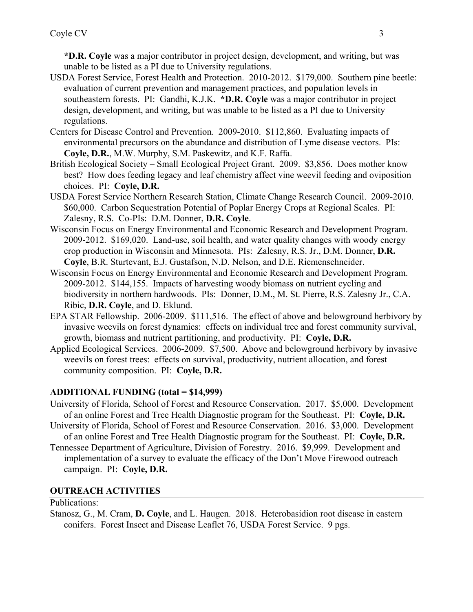**\*D.R. Coyle** was a major contributor in project design, development, and writing, but was unable to be listed as a PI due to University regulations.

- USDA Forest Service, Forest Health and Protection. 2010-2012. \$179,000. Southern pine beetle: evaluation of current prevention and management practices, and population levels in southeastern forests. PI: Gandhi, K.J.K. **\*D.R. Coyle** was a major contributor in project design, development, and writing, but was unable to be listed as a PI due to University regulations.
- Centers for Disease Control and Prevention. 2009-2010. \$112,860. Evaluating impacts of environmental precursors on the abundance and distribution of Lyme disease vectors. PIs: **Coyle, D.R.**, M.W. Murphy, S.M. Paskewitz, and K.F. Raffa.
- British Ecological Society Small Ecological Project Grant. 2009. \$3,856. Does mother know best? How does feeding legacy and leaf chemistry affect vine weevil feeding and oviposition choices. PI: **Coyle, D.R.**
- USDA Forest Service Northern Research Station, Climate Change Research Council. 2009-2010. \$60,000. Carbon Sequestration Potential of Poplar Energy Crops at Regional Scales. PI: Zalesny, R.S. Co-PIs: D.M. Donner, **D.R. Coyle**.
- Wisconsin Focus on Energy Environmental and Economic Research and Development Program. 2009-2012. \$169,020. Land-use, soil health, and water quality changes with woody energy crop production in Wisconsin and Minnesota. PIs: Zalesny, R.S. Jr., D.M. Donner, **D.R. Coyle**, B.R. Sturtevant, E.J. Gustafson, N.D. Nelson, and D.E. Riemenschneider.
- Wisconsin Focus on Energy Environmental and Economic Research and Development Program. 2009-2012. \$144,155. Impacts of harvesting woody biomass on nutrient cycling and biodiversity in northern hardwoods. PIs: Donner, D.M., M. St. Pierre, R.S. Zalesny Jr., C.A. Ribic, **D.R. Coyle**, and D. Eklund.
- EPA STAR Fellowship. 2006-2009. \$111,516. The effect of above and belowground herbivory by invasive weevils on forest dynamics: effects on individual tree and forest community survival, growth, biomass and nutrient partitioning, and productivity. PI: **Coyle, D.R.**
- Applied Ecological Services. 2006-2009. \$7,500. Above and belowground herbivory by invasive weevils on forest trees: effects on survival, productivity, nutrient allocation, and forest community composition. PI: **Coyle, D.R.**

### **ADDITIONAL FUNDING (total = \$14,999)**

- University of Florida, School of Forest and Resource Conservation. 2017. \$5,000. Development of an online Forest and Tree Health Diagnostic program for the Southeast. PI: **Coyle, D.R.**
- University of Florida, School of Forest and Resource Conservation. 2016. \$3,000. Development of an online Forest and Tree Health Diagnostic program for the Southeast. PI: **Coyle, D.R.**
- Tennessee Department of Agriculture, Division of Forestry. 2016. \$9,999. Development and implementation of a survey to evaluate the efficacy of the Don't Move Firewood outreach campaign. PI: **Coyle, D.R.**

# **OUTREACH ACTIVITIES**

### Publications:

Stanosz, G., M. Cram, **D. Coyle**, and L. Haugen. 2018. Heterobasidion root disease in eastern conifers. Forest Insect and Disease Leaflet 76, USDA Forest Service. 9 pgs.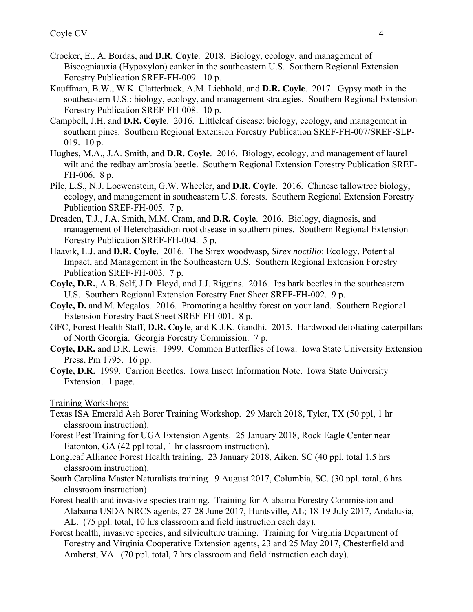- Crocker, E., A. Bordas, and **D.R. Coyle**. 2018. Biology, ecology, and management of Biscogniauxia (Hypoxylon) canker in the southeastern U.S. Southern Regional Extension Forestry Publication SREF-FH-009. 10 p.
- Kauffman, B.W., W.K. Clatterbuck, A.M. Liebhold, and **D.R. Coyle**. 2017. Gypsy moth in the southeastern U.S.: biology, ecology, and management strategies. Southern Regional Extension Forestry Publication SREF-FH-008. 10 p.
- Campbell, J.H. and **D.R. Coyle**. 2016. Littleleaf disease: biology, ecology, and management in southern pines. Southern Regional Extension Forestry Publication SREF-FH-007/SREF-SLP-019. 10 p.
- Hughes, M.A., J.A. Smith, and **D.R. Coyle**. 2016. Biology, ecology, and management of laurel wilt and the redbay ambrosia beetle. Southern Regional Extension Forestry Publication SREF-FH-006. 8 p.
- Pile, L.S., N.J. Loewenstein, G.W. Wheeler, and **D.R. Coyle**. 2016. Chinese tallowtree biology, ecology, and management in southeastern U.S. forests. Southern Regional Extension Forestry Publication SREF-FH-005. 7 p.
- Dreaden, T.J., J.A. Smith, M.M. Cram, and **D.R. Coyle**. 2016. Biology, diagnosis, and management of Heterobasidion root disease in southern pines. Southern Regional Extension Forestry Publication SREF-FH-004. 5 p.
- Haavik, L.J. and **D.R. Coyle**. 2016. The Sirex woodwasp, *Sirex noctilio*: Ecology, Potential Impact, and Management in the Southeastern U.S. Southern Regional Extension Forestry Publication SREF-FH-003. 7 p.
- **Coyle, D.R.**, A.B. Self, J.D. Floyd, and J.J. Riggins. 2016. Ips bark beetles in the southeastern U.S. Southern Regional Extension Forestry Fact Sheet SREF-FH-002. 9 p.
- **Coyle, D.** and M. Megalos. 2016. Promoting a healthy forest on your land. Southern Regional Extension Forestry Fact Sheet SREF-FH-001. 8 p.
- GFC, Forest Health Staff, **D.R. Coyle**, and K.J.K. Gandhi. 2015. Hardwood defoliating caterpillars of North Georgia. Georgia Forestry Commission. 7 p.
- **Coyle, D.R.** and D.R. Lewis. 1999. Common Butterflies of Iowa. Iowa State University Extension Press, Pm 1795. 16 pp.
- **Coyle, D.R.** 1999. Carrion Beetles. Iowa Insect Information Note. Iowa State University Extension. 1 page.

Training Workshops:

- Texas ISA Emerald Ash Borer Training Workshop. 29 March 2018, Tyler, TX (50 ppl, 1 hr classroom instruction).
- Forest Pest Training for UGA Extension Agents. 25 January 2018, Rock Eagle Center near Eatonton, GA (42 ppl total, 1 hr classroom instruction).
- Longleaf Alliance Forest Health training. 23 January 2018, Aiken, SC (40 ppl. total 1.5 hrs classroom instruction).
- South Carolina Master Naturalists training. 9 August 2017, Columbia, SC. (30 ppl. total, 6 hrs classroom instruction).
- Forest health and invasive species training. Training for Alabama Forestry Commission and Alabama USDA NRCS agents, 27-28 June 2017, Huntsville, AL; 18-19 July 2017, Andalusia, AL. (75 ppl. total, 10 hrs classroom and field instruction each day).
- Forest health, invasive species, and silviculture training. Training for Virginia Department of Forestry and Virginia Cooperative Extension agents, 23 and 25 May 2017, Chesterfield and Amherst, VA. (70 ppl. total, 7 hrs classroom and field instruction each day).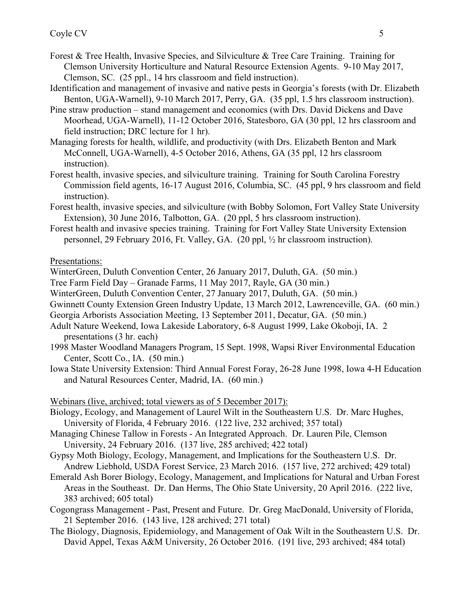- Forest & Tree Health, Invasive Species, and Silviculture & Tree Care Training. Training for Clemson University Horticulture and Natural Resource Extension Agents. 9-10 May 2017, Clemson, SC. (25 ppl., 14 hrs classroom and field instruction).
- Identification and management of invasive and native pests in Georgia's forests (with Dr. Elizabeth Benton, UGA-Warnell), 9-10 March 2017, Perry, GA. (35 ppl, 1.5 hrs classroom instruction).
- Pine straw production stand management and economics (with Drs. David Dickens and Dave Moorhead, UGA-Warnell), 11-12 October 2016, Statesboro, GA (30 ppl, 12 hrs classroom and field instruction; DRC lecture for 1 hr).
- Managing forests for health, wildlife, and productivity (with Drs. Elizabeth Benton and Mark McConnell, UGA-Warnell), 4-5 October 2016, Athens, GA (35 ppl, 12 hrs classroom instruction).
- Forest health, invasive species, and silviculture training. Training for South Carolina Forestry Commission field agents, 16-17 August 2016, Columbia, SC. (45 ppl, 9 hrs classroom and field instruction).
- Forest health, invasive species, and silviculture (with Bobby Solomon, Fort Valley State University Extension), 30 June 2016, Talbotton, GA. (20 ppl, 5 hrs classroom instruction).
- Forest health and invasive species training. Training for Fort Valley State University Extension personnel, 29 February 2016, Ft. Valley, GA. (20 ppl, ½ hr classroom instruction).

Presentations:

WinterGreen, Duluth Convention Center, 26 January 2017, Duluth, GA. (50 min.)

- Tree Farm Field Day Granade Farms, 11 May 2017, Rayle, GA (30 min.)
- WinterGreen, Duluth Convention Center, 27 January 2017, Duluth, GA. (50 min.)
- Gwinnett County Extension Green Industry Update, 13 March 2012, Lawrenceville, GA. (60 min.)
- Georgia Arborists Association Meeting, 13 September 2011, Decatur, GA. (50 min.)
- Adult Nature Weekend, Iowa Lakeside Laboratory, 6-8 August 1999, Lake Okoboji, IA. 2 presentations (3 hr. each)
- 1998 Master Woodland Managers Program, 15 Sept. 1998, Wapsi River Environmental Education Center, Scott Co., IA. (50 min.)
- Iowa State University Extension: Third Annual Forest Foray, 26-28 June 1998, Iowa 4-H Education and Natural Resources Center, Madrid, IA. (60 min.)

Webinars (live, archived; total viewers as of 5 December 2017):

- Biology, Ecology, and Management of Laurel Wilt in the Southeastern U.S. Dr. Marc Hughes, University of Florida, 4 February 2016. (122 live, 232 archived; 357 total)
- Managing Chinese Tallow in Forests An Integrated Approach. Dr. Lauren Pile, Clemson University, 24 February 2016. (137 live, 285 archived; 422 total)
- Gypsy Moth Biology, Ecology, Management, and Implications for the Southeastern U.S. Dr. Andrew Liebhold, USDA Forest Service, 23 March 2016. (157 live, 272 archived; 429 total)
- Emerald Ash Borer Biology, Ecology, Management, and Implications for Natural and Urban Forest Areas in the Southeast. Dr. Dan Herms, The Ohio State University, 20 April 2016. (222 live, 383 archived; 605 total)
- Cogongrass Management Past, Present and Future. Dr. Greg MacDonald, University of Florida, 21 September 2016. (143 live, 128 archived; 271 total)
- The Biology, Diagnosis, Epidemiology, and Management of Oak Wilt in the Southeastern U.S. Dr. David Appel, Texas A&M University, 26 October 2016. (191 live, 293 archived; 484 total)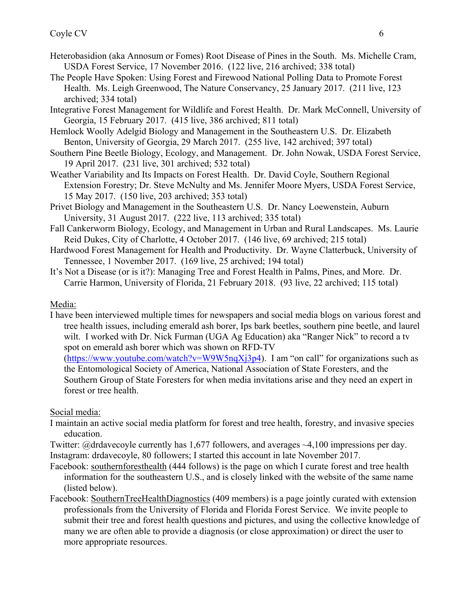- Heterobasidion (aka Annosum or Fomes) Root Disease of Pines in the South. Ms. Michelle Cram, USDA Forest Service, 17 November 2016. (122 live, 216 archived; 338 total)
- The People Have Spoken: Using Forest and Firewood National Polling Data to Promote Forest Health. Ms. Leigh Greenwood, The Nature Conservancy, 25 January 2017. (211 live, 123 archived; 334 total)
- Integrative Forest Management for Wildlife and Forest Health. Dr. Mark McConnell, University of Georgia, 15 February 2017. (415 live, 386 archived; 811 total)
- Hemlock Woolly Adelgid Biology and Management in the Southeastern U.S. Dr. Elizabeth Benton, University of Georgia, 29 March 2017. (255 live, 142 archived; 397 total)
- Southern Pine Beetle Biology, Ecology, and Management. Dr. John Nowak, USDA Forest Service, 19 April 2017. (231 live, 301 archived; 532 total)
- Weather Variability and Its Impacts on Forest Health. Dr. David Coyle, Southern Regional Extension Forestry; Dr. Steve McNulty and Ms. Jennifer Moore Myers, USDA Forest Service, 15 May 2017. (150 live, 203 archived; 353 total)
- Privet Biology and Management in the Southeastern U.S. Dr. Nancy Loewenstein, Auburn University, 31 August 2017. (222 live, 113 archived; 335 total)
- Fall Cankerworm Biology, Ecology, and Management in Urban and Rural Landscapes. Ms. Laurie Reid Dukes, City of Charlotte, 4 October 2017. (146 live, 69 archived; 215 total)
- Hardwood Forest Management for Health and Productivity. Dr. Wayne Clatterbuck, University of Tennessee, 1 November 2017. (169 live, 25 archived; 194 total)
- It's Not a Disease (or is it?): Managing Tree and Forest Health in Palms, Pines, and More. Dr. Carrie Harmon, University of Florida, 21 February 2018. (93 live, 22 archived; 115 total)

## Media:

I have been interviewed multiple times for newspapers and social media blogs on various forest and tree health issues, including emerald ash borer, Ips bark beetles, southern pine beetle, and laurel wilt. I worked with Dr. Nick Furman (UGA Ag Education) aka "Ranger Nick" to record a tv spot on emerald ash borer which was shown on RFD-TV

 $(htips://www.youtube.com/watch?v=W9W5nqXj3p4)$ . I am "on call" for organizations such as the Entomological Society of America, National Association of State Foresters, and the Southern Group of State Foresters for when media invitations arise and they need an expert in forest or tree health.

Social media:

- I maintain an active social media platform for forest and tree health, forestry, and invasive species education.
- Twitter: @drdavecoyle currently has 1,677 followers, and averages ~4,100 impressions per day. Instagram: drdavecoyle, 80 followers; I started this account in late November 2017.
- Facebook: southernforesthealth (444 follows) is the page on which I curate forest and tree health information for the southeastern U.S., and is closely linked with the website of the same name (listed below).
- Facebook: SouthernTreeHealthDiagnostics (409 members) is a page jointly curated with extension professionals from the University of Florida and Florida Forest Service. We invite people to submit their tree and forest health questions and pictures, and using the collective knowledge of many we are often able to provide a diagnosis (or close approximation) or direct the user to more appropriate resources.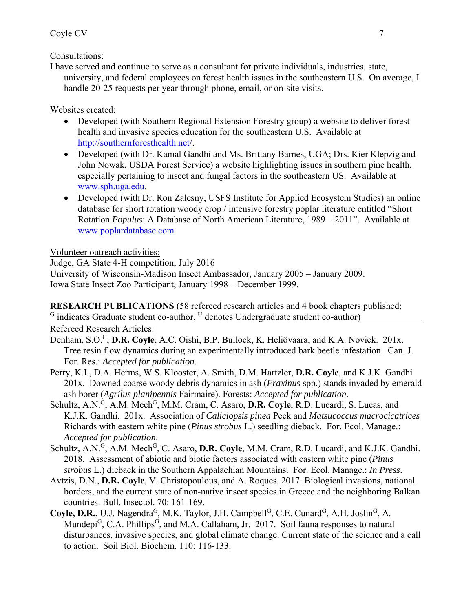### Coyle CV 7

Consultations:

I have served and continue to serve as a consultant for private individuals, industries, state, university, and federal employees on forest health issues in the southeastern U.S. On average, I handle 20-25 requests per year through phone, email, or on-site visits.

Websites created:

- Developed (with Southern Regional Extension Forestry group) a website to deliver forest health and invasive species education for the southeastern U.S. Available at http://southernforesthealth.net/.
- Developed (with Dr. Kamal Gandhi and Ms. Brittany Barnes, UGA; Drs. Kier Klepzig and John Nowak, USDA Forest Service) a website highlighting issues in southern pine health, especially pertaining to insect and fungal factors in the southeastern US. Available at www.sph.uga.edu.
- Developed (with Dr. Ron Zalesny, USFS Institute for Applied Ecosystem Studies) an online database for short rotation woody crop / intensive forestry poplar literature entitled "Short Rotation *Populus*: A Database of North American Literature, 1989 – 2011". Available at www.poplardatabase.com.

Volunteer outreach activities:

Judge, GA State 4-H competition, July 2016

University of Wisconsin-Madison Insect Ambassador, January 2005 – January 2009. Iowa State Insect Zoo Participant, January 1998 – December 1999.

**RESEARCH PUBLICATIONS** (58 refereed research articles and 4 book chapters published; G indicates Graduate student co-author, <sup>U</sup> denotes Undergraduate student co-author)

Refereed Research Articles:

- Denham, S.O.G, **D.R. Coyle**, A.C. Oishi, B.P. Bullock, K. Heliövaara, and K.A. Novick. 201x. Tree resin flow dynamics during an experimentally introduced bark beetle infestation. Can. J. For. Res.: *Accepted for publication*.
- Perry, K.I., D.A. Herms, W.S. Klooster, A. Smith, D.M. Hartzler, **D.R. Coyle**, and K.J.K. Gandhi 201x. Downed coarse woody debris dynamics in ash (*Fraxinus* spp.) stands invaded by emerald ash borer (*Agrilus planipennis* Fairmaire). Forests: *Accepted for publication*.
- Schultz, A.N.<sup>G</sup>, A.M. Mech<sup>G</sup>, M.M. Cram, C. Asaro, **D.R. Coyle**, R.D. Lucardi, S. Lucas, and K.J.K. Gandhi. 201x. Association of *Caliciopsis pinea* Peck and *Matsucoccus macrocicatrices* Richards with eastern white pine (*Pinus strobus* L.) seedling dieback. For. Ecol. Manage.: *Accepted for publication*.
- Schultz, A.N.<sup>G</sup>, A.M. Mech<sup>G</sup>, C. Asaro, D.R. Coyle, M.M. Cram, R.D. Lucardi, and K.J.K. Gandhi. 2018. Assessment of abiotic and biotic factors associated with eastern white pine (*Pinus strobus* L.) dieback in the Southern Appalachian Mountains. For. Ecol. Manage.: *In Press*.
- Avtzis, D.N., **D.R. Coyle**, V. Christopoulous, and A. Roques. 2017. Biological invasions, national borders, and the current state of non-native insect species in Greece and the neighboring Balkan countries. Bull. Insectol. 70: 161-169.
- Coyle, D.R., U.J. Nagendra<sup>G</sup>, M.K. Taylor, J.H. Campbell<sup>G</sup>, C.E. Cunard<sup>G</sup>, A.H. Joslin<sup>G</sup>, A. Mundepi<sup>G</sup>, C.A. Phillips<sup>G</sup>, and M.A. Callaham, Jr. 2017. Soil fauna responses to natural disturbances, invasive species, and global climate change: Current state of the science and a call to action. Soil Biol. Biochem. 110: 116-133.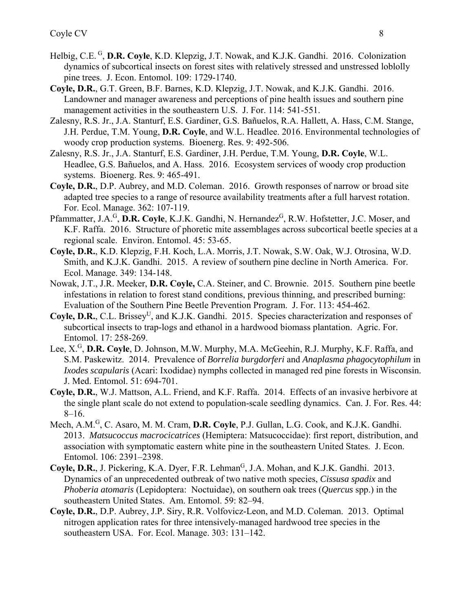- Helbig, C.E. <sup>G</sup>, **D.R. Coyle**, K.D. Klepzig, J.T. Nowak, and K.J.K. Gandhi. 2016. Colonization dynamics of subcortical insects on forest sites with relatively stressed and unstressed loblolly pine trees. J. Econ. Entomol. 109: 1729-1740.
- **Coyle, D.R.**, G.T. Green, B.F. Barnes, K.D. Klepzig, J.T. Nowak, and K.J.K. Gandhi. 2016. Landowner and manager awareness and perceptions of pine health issues and southern pine management activities in the southeastern U.S. J. For. 114: 541-551.
- Zalesny, R.S. Jr., J.A. Stanturf, E.S. Gardiner, G.S. Bañuelos, R.A. Hallett, A. Hass, C.M. Stange, J.H. Perdue, T.M. Young, **D.R. Coyle**, and W.L. Headlee. 2016. Environmental technologies of woody crop production systems. Bioenerg. Res. 9: 492-506.
- Zalesny, R.S. Jr., J.A. Stanturf, E.S. Gardiner, J.H. Perdue, T.M. Young, **D.R. Coyle**, W.L. Headlee, G.S. Bañuelos, and A. Hass. 2016. Ecosystem services of woody crop production systems. Bioenerg. Res. 9: 465-491.
- **Coyle, D.R.**, D.P. Aubrey, and M.D. Coleman. 2016. Growth responses of narrow or broad site adapted tree species to a range of resource availability treatments after a full harvest rotation. For. Ecol. Manage. 362: 107-119.
- Pfammatter, J.A.<sup>G</sup>, D.R. Coyle, K.J.K. Gandhi, N. Hernandez<sup>G</sup>, R.W. Hofstetter, J.C. Moser, and K.F. Raffa. 2016. Structure of phoretic mite assemblages across subcortical beetle species at a regional scale. Environ. Entomol. 45: 53-65.
- **Coyle, D.R.**, K.D. Klepzig, F.H. Koch, L.A. Morris, J.T. Nowak, S.W. Oak, W.J. Otrosina, W.D. Smith, and K.J.K. Gandhi. 2015. A review of southern pine decline in North America. For. Ecol. Manage. 349: 134-148.
- Nowak, J.T., J.R. Meeker, **D.R. Coyle,** C.A. Steiner, and C. Brownie. 2015. Southern pine beetle infestations in relation to forest stand conditions, previous thinning, and prescribed burning: Evaluation of the Southern Pine Beetle Prevention Program. J. For. 113: 454-462.
- Coyle, D.R., C.L. Brissey<sup>U</sup>, and K.J.K. Gandhi. 2015. Species characterization and responses of subcortical insects to trap-logs and ethanol in a hardwood biomass plantation. Agric. For. Entomol. 17: 258-269.
- Lee, X.<sup>G</sup>, D.R. Coyle, D. Johnson, M.W. Murphy, M.A. McGeehin, R.J. Murphy, K.F. Raffa, and S.M. Paskewitz. 2014. Prevalence of *Borrelia burgdorferi* and *Anaplasma phagocytophilum* in *Ixodes scapularis* (Acari: Ixodidae) nymphs collected in managed red pine forests in Wisconsin. J. Med. Entomol. 51: 694-701.
- **Coyle, D.R.**, W.J. Mattson, A.L. Friend, and K.F. Raffa. 2014. Effects of an invasive herbivore at the single plant scale do not extend to population-scale seedling dynamics. Can. J. For. Res. 44: 8–16.
- Mech, A.M.<sup>G</sup>, C. Asaro, M. M. Cram, **D.R. Coyle**, P.J. Gullan, L.G. Cook, and K.J.K. Gandhi. 2013. *Matsucoccus macrocicatrices* (Hemiptera: Matsucoccidae): first report, distribution, and association with symptomatic eastern white pine in the southeastern United States. J. Econ. Entomol. 106: 2391–2398.
- Coyle, D.R., J. Pickering, K.A. Dyer, F.R. Lehman<sup>G</sup>, J.A. Mohan, and K.J.K. Gandhi. 2013. Dynamics of an unprecedented outbreak of two native moth species, *Cissusa spadix* and *Phoberia atomaris* (Lepidoptera: Noctuidae), on southern oak trees (*Quercus* spp.) in the southeastern United States. Am. Entomol. 59: 82–94.
- **Coyle, D.R.**, D.P. Aubrey, J.P. Siry, R.R. Volfovicz-Leon, and M.D. Coleman. 2013. Optimal nitrogen application rates for three intensively-managed hardwood tree species in the southeastern USA. For. Ecol. Manage. 303: 131–142.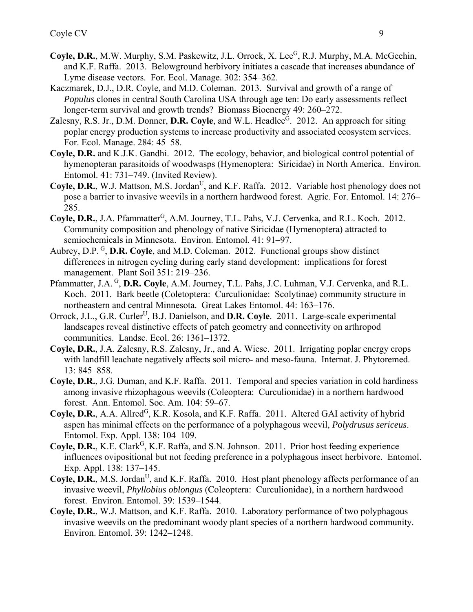- Coyle, D.R., M.W. Murphy, S.M. Paskewitz, J.L. Orrock, X. Lee<sup>G</sup>, R.J. Murphy, M.A. McGeehin, and K.F. Raffa. 2013. Belowground herbivory initiates a cascade that increases abundance of Lyme disease vectors. For. Ecol. Manage. 302: 354–362.
- Kaczmarek, D.J., D.R. Coyle, and M.D. Coleman. 2013. Survival and growth of a range of *Populus* clones in central South Carolina USA through age ten: Do early assessments reflect longer-term survival and growth trends? Biomass Bioenergy 49: 260–272.
- Zalesny, R.S. Jr., D.M. Donner, D.R. Coyle, and W.L. Headlee<sup>G</sup>. 2012. An approach for siting poplar energy production systems to increase productivity and associated ecosystem services. For. Ecol. Manage. 284: 45–58.
- **Coyle, D.R.** and K.J.K. Gandhi. 2012. The ecology, behavior, and biological control potential of hymenopteran parasitoids of woodwasps (Hymenoptera: Siricidae) in North America. Environ. Entomol. 41: 731–749. (Invited Review).
- Coyle, D.R., W.J. Mattson, M.S. Jordan<sup>U</sup>, and K.F. Raffa. 2012. Variable host phenology does not pose a barrier to invasive weevils in a northern hardwood forest. Agric. For. Entomol. 14: 276– 285.
- Coyle, D.R., J.A. Pfammatter<sup>G</sup>, A.M. Journey, T.L. Pahs, V.J. Cervenka, and R.L. Koch. 2012. Community composition and phenology of native Siricidae (Hymenoptera) attracted to semiochemicals in Minnesota. Environ. Entomol. 41: 91–97.
- Aubrey, D.P. G, **D.R. Coyle**, and M.D. Coleman. 2012. Functional groups show distinct differences in nitrogen cycling during early stand development: implications for forest management. Plant Soil 351: 219–236.
- Pfammatter, J.A. <sup>G</sup>, D.R. Coyle, A.M. Journey, T.L. Pahs, J.C. Luhman, V.J. Cervenka, and R.L. Koch. 2011. Bark beetle (Coletoptera: Curculionidae: Scolytinae) community structure in northeastern and central Minnesota. Great Lakes Entomol. 44: 163–176.
- Orrock, J.L., G.R. Curler<sup>U</sup>, B.J. Danielson, and **D.R. Coyle**. 2011. Large-scale experimental landscapes reveal distinctive effects of patch geometry and connectivity on arthropod communities. Landsc. Ecol. 26: 1361–1372.
- **Coyle, D.R.**, J.A. Zalesny, R.S. Zalesny, Jr., and A. Wiese. 2011. Irrigating poplar energy crops with landfill leachate negatively affects soil micro- and meso-fauna. Internat. J. Phytoremed. 13: 845–858.
- **Coyle, D.R.**, J.G. Duman, and K.F. Raffa. 2011. Temporal and species variation in cold hardiness among invasive rhizophagous weevils (Coleoptera: Curculionidae) in a northern hardwood forest. Ann. Entomol. Soc. Am. 104: 59–67.
- Coyle, D.R., A.A. Allred<sup>G</sup>, K.R. Kosola, and K.F. Raffa. 2011. Altered GAI activity of hybrid aspen has minimal effects on the performance of a polyphagous weevil, *Polydrusus sericeus*. Entomol. Exp. Appl. 138: 104–109.
- Coyle, D.R., K.E. Clark<sup>G</sup>, K.F. Raffa, and S.N. Johnson. 2011. Prior host feeding experience influences ovipositional but not feeding preference in a polyphagous insect herbivore. Entomol. Exp. Appl. 138: 137–145.
- Coyle, D.R., M.S. Jordan<sup>U</sup>, and K.F. Raffa. 2010. Host plant phenology affects performance of an invasive weevil, *Phyllobius oblongus* (Coleoptera: Curculionidae), in a northern hardwood forest. Environ. Entomol. 39: 1539–1544.
- **Coyle, D.R.**, W.J. Mattson, and K.F. Raffa. 2010. Laboratory performance of two polyphagous invasive weevils on the predominant woody plant species of a northern hardwood community. Environ. Entomol. 39: 1242–1248.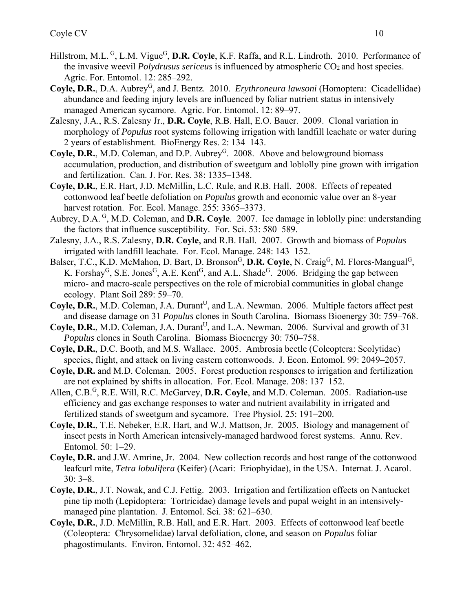- Hillstrom, M.L. <sup>G</sup>, L.M. Vigue<sup>G</sup>, D.R. Coyle, K.F. Raffa, and R.L. Lindroth. 2010. Performance of the invasive weevil *Polydrusus sericeus* is influenced by atmospheric CO<sub>2</sub> and host species. Agric. For. Entomol. 12: 285–292.
- Coyle, D.R., D.A. Aubrey<sup>G</sup>, and J. Bentz. 2010. *Erythroneura lawsoni* (Homoptera: Cicadellidae) abundance and feeding injury levels are influenced by foliar nutrient status in intensively managed American sycamore. Agric. For. Entomol. 12: 89–97.
- Zalesny, J.A., R.S. Zalesny Jr., **D.R. Coyle**, R.B. Hall, E.O. Bauer. 2009. Clonal variation in morphology of *Populus* root systems following irrigation with landfill leachate or water during 2 years of establishment. BioEnergy Res. 2: 134–143.
- **Coyle, D.R.,** M.D. Coleman, and D.P. Aubrey<sup>G</sup>. 2008. Above and belowground biomass accumulation, production, and distribution of sweetgum and loblolly pine grown with irrigation and fertilization. Can. J. For. Res. 38: 1335–1348.
- **Coyle, D.R.**, E.R. Hart, J.D. McMillin, L.C. Rule, and R.B. Hall. 2008. Effects of repeated cottonwood leaf beetle defoliation on *Populus* growth and economic value over an 8-year harvest rotation. For. Ecol. Manage. 255: 3365–3373.
- Aubrey, D.A. G, M.D. Coleman, and **D.R. Coyle**. 2007. Ice damage in loblolly pine: understanding the factors that influence susceptibility. For. Sci. 53: 580–589.
- Zalesny, J.A., R.S. Zalesny, **D.R. Coyle**, and R.B. Hall. 2007. Growth and biomass of *Populus* irrigated with landfill leachate. For. Ecol. Manage. 248: 143–152.
- Balser, T.C., K.D. McMahon, D. Bart, D. Bronson<sup>G</sup>, D.R. Coyle, N. Craig<sup>G</sup>, M. Flores-Mangual<sup>G</sup>, K. Forshay<sup>G</sup>, S.E. Jones<sup>G</sup>, A.E. Kent<sup>G</sup>, and A.L. Shade<sup>G</sup>. 2006. Bridging the gap between micro- and macro-scale perspectives on the role of microbial communities in global change ecology. Plant Soil 289: 59–70.
- **Coyle, D.R.,** M.D. Coleman, J.A. Durant<sup>U</sup>, and L.A. Newman. 2006. Multiple factors affect pest and disease damage on 31 *Populus* clones in South Carolina. Biomass Bioenergy 30: 759–768.
- **Coyle, D.R.**, M.D. Coleman, J.A. Durant<sup>U</sup>, and L.A. Newman. 2006. Survival and growth of 31 *Populus* clones in South Carolina. Biomass Bioenergy 30: 750–758.
- **Coyle, D.R.**, D.C. Booth, and M.S. Wallace. 2005. Ambrosia beetle (Coleoptera: Scolytidae) species, flight, and attack on living eastern cottonwoods. J. Econ. Entomol. 99: 2049–2057.
- **Coyle, D.R.** and M.D. Coleman. 2005. Forest production responses to irrigation and fertilization are not explained by shifts in allocation. For. Ecol. Manage. 208: 137–152.
- Allen, C.B.<sup>G</sup>, R.E. Will, R.C. McGarvey, **D.R. Coyle**, and M.D. Coleman. 2005. Radiation-use efficiency and gas exchange responses to water and nutrient availability in irrigated and fertilized stands of sweetgum and sycamore. Tree Physiol. 25: 191–200.
- **Coyle, D.R.**, T.E. Nebeker, E.R. Hart, and W.J. Mattson, Jr. 2005. Biology and management of insect pests in North American intensively-managed hardwood forest systems. Annu. Rev. Entomol. 50: 1–29.
- **Coyle, D.R.** and J.W. Amrine, Jr. 2004. New collection records and host range of the cottonwood leafcurl mite, *Tetra lobulifera* (Keifer) (Acari: Eriophyidae), in the USA. Internat. J. Acarol. 30: 3–8.
- **Coyle, D.R.**, J.T. Nowak, and C.J. Fettig. 2003. Irrigation and fertilization effects on Nantucket pine tip moth (Lepidoptera: Tortricidae) damage levels and pupal weight in an intensivelymanaged pine plantation. J. Entomol. Sci. 38: 621–630.
- **Coyle, D.R.**, J.D. McMillin, R.B. Hall, and E.R. Hart. 2003. Effects of cottonwood leaf beetle (Coleoptera: Chrysomelidae) larval defoliation, clone, and season on *Populus* foliar phagostimulants. Environ. Entomol. 32: 452–462.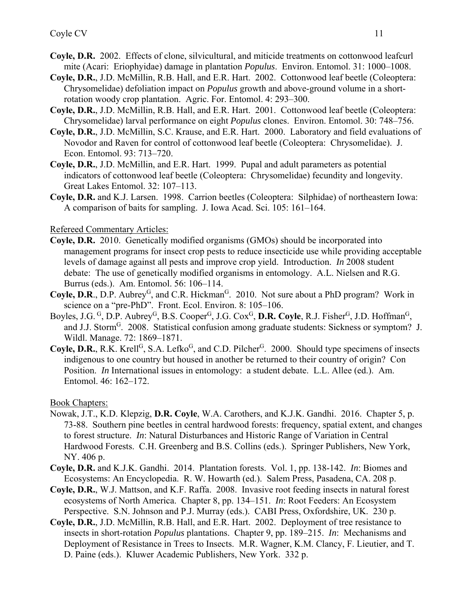- **Coyle, D.R.** 2002. Effects of clone, silvicultural, and miticide treatments on cottonwood leafcurl mite (Acari: Eriophyidae) damage in plantation *Populus*. Environ. Entomol. 31: 1000–1008.
- **Coyle, D.R.**, J.D. McMillin, R.B. Hall, and E.R. Hart. 2002. Cottonwood leaf beetle (Coleoptera: Chrysomelidae) defoliation impact on *Populus* growth and above-ground volume in a shortrotation woody crop plantation. Agric. For. Entomol. 4: 293–300.
- **Coyle, D.R.**, J.D. McMillin, R.B. Hall, and E.R. Hart. 2001. Cottonwood leaf beetle (Coleoptera: Chrysomelidae) larval performance on eight *Populus* clones. Environ. Entomol. 30: 748–756.
- **Coyle, D.R.**, J.D. McMillin, S.C. Krause, and E.R. Hart. 2000. Laboratory and field evaluations of Novodor and Raven for control of cottonwood leaf beetle (Coleoptera: Chrysomelidae). J. Econ. Entomol. 93: 713–720.
- **Coyle, D.R.**, J.D. McMillin, and E.R. Hart. 1999. Pupal and adult parameters as potential indicators of cottonwood leaf beetle (Coleoptera: Chrysomelidae) fecundity and longevity. Great Lakes Entomol. 32: 107–113.
- **Coyle, D.R.** and K.J. Larsen. 1998. Carrion beetles (Coleoptera: Silphidae) of northeastern Iowa: A comparison of baits for sampling. J. Iowa Acad. Sci. 105: 161–164.

Refereed Commentary Articles:

- **Coyle, D.R.** 2010. Genetically modified organisms (GMOs) should be incorporated into management programs for insect crop pests to reduce insecticide use while providing acceptable levels of damage against all pests and improve crop yield. Introduction. *In* 2008 student debate: The use of genetically modified organisms in entomology. A.L. Nielsen and R.G. Burrus (eds.). Am. Entomol. 56: 106–114.
- Coyle, D.R., D.P. Aubrey<sup>G</sup>, and C.R. Hickman<sup>G</sup>. 2010. Not sure about a PhD program? Work in science on a "pre-PhD". Front. Ecol. Environ. 8: 105–106.
- Boyles, J.G. <sup>G</sup>, D.P. Aubrey<sup>G</sup>, B.S. Cooper<sup>G</sup>, J.G. Cox<sup>G</sup>, D.R. Coyle, R.J. Fisher<sup>G</sup>, J.D. Hoffman<sup>G</sup>, and J.J. Storm<sup>G</sup>. 2008. Statistical confusion among graduate students: Sickness or symptom? J. Wildl. Manage. 72: 1869–1871.
- Coyle, D.R., R.K. Krell<sup>G</sup>, S.A. Lefko<sup>G</sup>, and C.D. Pilcher<sup>G</sup>. 2000. Should type specimens of insects indigenous to one country but housed in another be returned to their country of origin? Con Position. *In* International issues in entomology: a student debate. L.L. Allee (ed.). Am. Entomol. 46: 162–172.

Book Chapters:

- Nowak, J.T., K.D. Klepzig, **D.R. Coyle**, W.A. Carothers, and K.J.K. Gandhi. 2016. Chapter 5, p. 73-88. Southern pine beetles in central hardwood forests: frequency, spatial extent, and changes to forest structure. *In*: Natural Disturbances and Historic Range of Variation in Central Hardwood Forests. C.H. Greenberg and B.S. Collins (eds.). Springer Publishers, New York, NY. 406 p.
- **Coyle, D.R.** and K.J.K. Gandhi. 2014. Plantation forests. Vol. 1, pp. 138-142. *In*: Biomes and Ecosystems: An Encyclopedia. R. W. Howarth (ed.). Salem Press, Pasadena, CA. 208 p.
- **Coyle, D.R.**, W.J. Mattson, and K.F. Raffa. 2008. Invasive root feeding insects in natural forest ecosystems of North America. Chapter 8, pp. 134–151. *In*: Root Feeders: An Ecosystem Perspective. S.N. Johnson and P.J. Murray (eds.). CABI Press, Oxfordshire, UK. 230 p.
- **Coyle, D.R.**, J.D. McMillin, R.B. Hall, and E.R. Hart. 2002. Deployment of tree resistance to insects in short-rotation *Populus* plantations. Chapter 9, pp. 189–215. *In*: Mechanisms and Deployment of Resistance in Trees to Insects. M.R. Wagner, K.M. Clancy, F. Lieutier, and T. D. Paine (eds.). Kluwer Academic Publishers, New York. 332 p.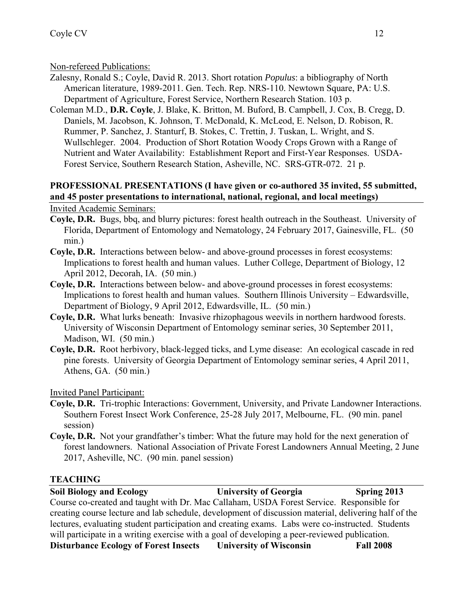Non-refereed Publications:

- Zalesny, Ronald S.; Coyle, David R. 2013. Short rotation *Populus*: a bibliography of North American literature, 1989-2011. Gen. Tech. Rep. NRS-110. Newtown Square, PA: U.S. Department of Agriculture, Forest Service, Northern Research Station. 103 p.
- Coleman M.D., **D.R. Coyle**, J. Blake, K. Britton, M. Buford, B. Campbell, J. Cox, B. Cregg, D. Daniels, M. Jacobson, K. Johnson, T. McDonald, K. McLeod, E. Nelson, D. Robison, R. Rummer, P. Sanchez, J. Stanturf, B. Stokes, C. Trettin, J. Tuskan, L. Wright, and S. Wullschleger. 2004. Production of Short Rotation Woody Crops Grown with a Range of Nutrient and Water Availability: Establishment Report and First-Year Responses. USDA-Forest Service, Southern Research Station, Asheville, NC. SRS-GTR-072. 21 p.

## **PROFESSIONAL PRESENTATIONS (I have given or co-authored 35 invited, 55 submitted, and 45 poster presentations to international, national, regional, and local meetings)**

Invited Academic Seminars:

- **Coyle, D.R.** Bugs, bbq, and blurry pictures: forest health outreach in the Southeast. University of Florida, Department of Entomology and Nematology, 24 February 2017, Gainesville, FL. (50 min.)
- **Coyle, D.R.** Interactions between below- and above-ground processes in forest ecosystems: Implications to forest health and human values. Luther College, Department of Biology, 12 April 2012, Decorah, IA. (50 min.)
- **Coyle, D.R.** Interactions between below- and above-ground processes in forest ecosystems: Implications to forest health and human values. Southern Illinois University – Edwardsville, Department of Biology, 9 April 2012, Edwardsville, IL. (50 min.)
- **Coyle, D.R.** What lurks beneath: Invasive rhizophagous weevils in northern hardwood forests. University of Wisconsin Department of Entomology seminar series, 30 September 2011, Madison, WI. (50 min.)
- **Coyle, D.R.** Root herbivory, black-legged ticks, and Lyme disease: An ecological cascade in red pine forests. University of Georgia Department of Entomology seminar series, 4 April 2011, Athens, GA. (50 min.)

Invited Panel Participant:

- **Coyle, D.R.** Tri-trophic Interactions: Government, University, and Private Landowner Interactions. Southern Forest Insect Work Conference, 25-28 July 2017, Melbourne, FL. (90 min. panel session)
- **Coyle, D.R.** Not your grandfather's timber: What the future may hold for the next generation of forest landowners. National Association of Private Forest Landowners Annual Meeting, 2 June 2017, Asheville, NC. (90 min. panel session)

# **TEACHING**

**Soil Biology and Ecology University of Georgia Spring 2013**  Course co-created and taught with Dr. Mac Callaham, USDA Forest Service. Responsible for creating course lecture and lab schedule, development of discussion material, delivering half of the lectures, evaluating student participation and creating exams. Labs were co-instructed. Students will participate in a writing exercise with a goal of developing a peer-reviewed publication. **Disturbance Ecology of Forest Insects University of Wisconsin Fall 2008**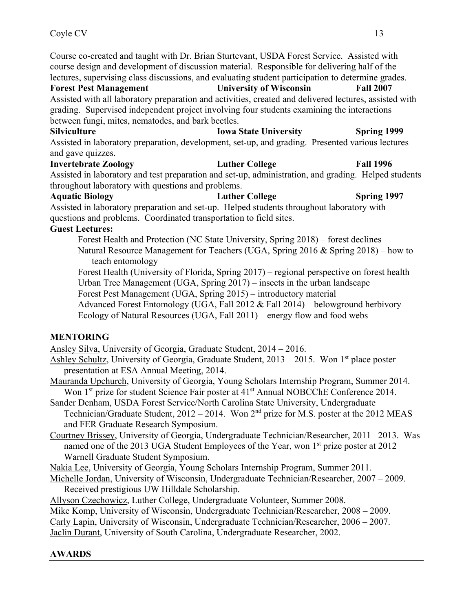Course co-created and taught with Dr. Brian Sturtevant, USDA Forest Service. Assisted with course design and development of discussion material. Responsible for delivering half of the lectures, supervising class discussions, and evaluating student participation to determine grades.

**Forest Pest Management University of Wisconsin Fall 2007** Assisted with all laboratory preparation and activities, created and delivered lectures, assisted with grading. Supervised independent project involving four students examining the interactions between fungi, mites, nematodes, and bark beetles.

# Silviculture **Iowa State University** Spring 1999

Assisted in laboratory preparation, development, set-up, and grading. Presented various lectures and gave quizzes.

# **Invertebrate Zoology Luther College Fall 1996**

Assisted in laboratory and test preparation and set-up, administration, and grading. Helped students throughout laboratory with questions and problems.

### **Aquatic Biology Luther College Spring 1997**

Assisted in laboratory preparation and set-up. Helped students throughout laboratory with questions and problems. Coordinated transportation to field sites.

### **Guest Lectures:**

Forest Health and Protection (NC State University, Spring 2018) – forest declines Natural Resource Management for Teachers (UGA, Spring 2016 & Spring 2018) – how to teach entomology

Forest Health (University of Florida, Spring 2017) – regional perspective on forest health Urban Tree Management (UGA, Spring 2017) – insects in the urban landscape Forest Pest Management (UGA, Spring 2015) – introductory material

Advanced Forest Entomology (UGA, Fall 2012 & Fall 2014) – belowground herbivory Ecology of Natural Resources (UGA, Fall 2011) – energy flow and food webs

# **MENTORING**

Ansley Silva, University of Georgia, Graduate Student, 2014 – 2016.

Ashley Schultz, University of Georgia, Graduate Student,  $2013 - 2015$ . Won 1<sup>st</sup> place poster presentation at ESA Annual Meeting, 2014.

Mauranda Upchurch, University of Georgia, Young Scholars Internship Program, Summer 2014. Won 1<sup>st</sup> prize for student Science Fair poster at 41<sup>st</sup> Annual NOBCChE Conference 2014.

Sander Denham, USDA Forest Service/North Carolina State University, Undergraduate Technician/Graduate Student,  $2012 - 2014$ . Won  $2<sup>nd</sup>$  prize for M.S. poster at the 2012 MEAS and FER Graduate Research Symposium.

Courtney Brissey, University of Georgia, Undergraduate Technician/Researcher, 2011 –2013. Was named one of the 2013 UGA Student Employees of the Year, won 1<sup>st</sup> prize poster at 2012 Warnell Graduate Student Symposium.

Nakia Lee, University of Georgia, Young Scholars Internship Program, Summer 2011.

Michelle Jordan, University of Wisconsin, Undergraduate Technician/Researcher, 2007 – 2009. Received prestigious UW Hilldale Scholarship.

Allyson Czechowicz, Luther College, Undergraduate Volunteer, Summer 2008.

Mike Komp, University of Wisconsin, Undergraduate Technician/Researcher, 2008 – 2009.

Carly Lapin, University of Wisconsin, Undergraduate Technician/Researcher, 2006 – 2007.

Jaclin Durant, University of South Carolina, Undergraduate Researcher, 2002.

# **AWARDS**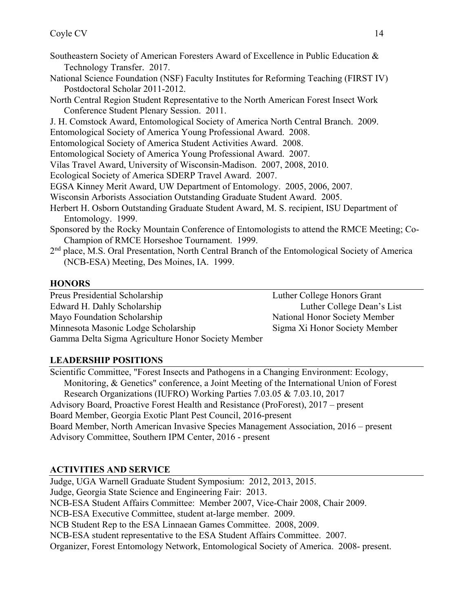- Southeastern Society of American Foresters Award of Excellence in Public Education & Technology Transfer. 2017.
- National Science Foundation (NSF) Faculty Institutes for Reforming Teaching (FIRST IV) Postdoctoral Scholar 2011-2012.
- North Central Region Student Representative to the North American Forest Insect Work Conference Student Plenary Session. 2011.
- J. H. Comstock Award, Entomological Society of America North Central Branch. 2009.
- Entomological Society of America Young Professional Award. 2008.
- Entomological Society of America Student Activities Award. 2008.
- Entomological Society of America Young Professional Award. 2007.
- Vilas Travel Award, University of Wisconsin-Madison. 2007, 2008, 2010.
- Ecological Society of America SDERP Travel Award. 2007.
- EGSA Kinney Merit Award, UW Department of Entomology. 2005, 2006, 2007.
- Wisconsin Arborists Association Outstanding Graduate Student Award. 2005.
- Herbert H. Osborn Outstanding Graduate Student Award, M. S. recipient, ISU Department of Entomology. 1999.
- Sponsored by the Rocky Mountain Conference of Entomologists to attend the RMCE Meeting; Co-Champion of RMCE Horseshoe Tournament. 1999.
- 2<sup>nd</sup> place, M.S. Oral Presentation, North Central Branch of the Entomological Society of America (NCB-ESA) Meeting, Des Moines, IA. 1999.

## **HONORS**

Preus Presidential Scholarship Luther College Honors Grant Edward H. Dahly Scholarship Luther College Dean's List Mayo Foundation Scholarship National Honor Society Member Minnesota Masonic Lodge Scholarship Sigma Xi Honor Society Member Gamma Delta Sigma Agriculture Honor Society Member

# **LEADERSHIP POSITIONS**

Scientific Committee, "Forest Insects and Pathogens in a Changing Environment: Ecology, Monitoring, & Genetics" conference, a Joint Meeting of the International Union of Forest Research Organizations (IUFRO) Working Parties 7.03.05 & 7.03.10, 2017 Advisory Board, Proactive Forest Health and Resistance (ProForest), 2017 – present Board Member, Georgia Exotic Plant Pest Council, 2016-present Board Member, North American Invasive Species Management Association, 2016 – present Advisory Committee, Southern IPM Center, 2016 - present

# **ACTIVITIES AND SERVICE**

Judge, UGA Warnell Graduate Student Symposium: 2012, 2013, 2015. Judge, Georgia State Science and Engineering Fair: 2013. NCB-ESA Student Affairs Committee: Member 2007, Vice-Chair 2008, Chair 2009. NCB-ESA Executive Committee, student at-large member. 2009. NCB Student Rep to the ESA Linnaean Games Committee. 2008, 2009. NCB-ESA student representative to the ESA Student Affairs Committee. 2007. Organizer, Forest Entomology Network, Entomological Society of America. 2008- present.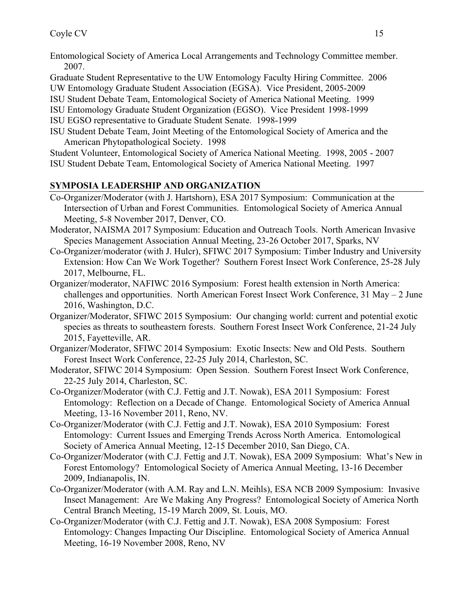- Entomological Society of America Local Arrangements and Technology Committee member. 2007.
- Graduate Student Representative to the UW Entomology Faculty Hiring Committee. 2006
- UW Entomology Graduate Student Association (EGSA). Vice President, 2005-2009
- ISU Student Debate Team, Entomological Society of America National Meeting. 1999
- ISU Entomology Graduate Student Organization (EGSO). Vice President 1998-1999
- ISU EGSO representative to Graduate Student Senate. 1998-1999
- ISU Student Debate Team, Joint Meeting of the Entomological Society of America and the American Phytopathological Society. 1998

Student Volunteer, Entomological Society of America National Meeting. 1998, 2005 - 2007 ISU Student Debate Team, Entomological Society of America National Meeting. 1997

# **SYMPOSIA LEADERSHIP AND ORGANIZATION**

- Co-Organizer/Moderator (with J. Hartshorn), ESA 2017 Symposium: Communication at the Intersection of Urban and Forest Communities. Entomological Society of America Annual Meeting, 5-8 November 2017, Denver, CO.
- Moderator, NAISMA 2017 Symposium: Education and Outreach Tools. North American Invasive Species Management Association Annual Meeting, 23-26 October 2017, Sparks, NV
- Co-Organizer/moderator (with J. Hulcr), SFIWC 2017 Symposium: Timber Industry and University Extension: How Can We Work Together? Southern Forest Insect Work Conference, 25-28 July 2017, Melbourne, FL.
- Organizer/moderator, NAFIWC 2016 Symposium: Forest health extension in North America: challenges and opportunities. North American Forest Insect Work Conference,  $31$  May – 2 June 2016, Washington, D.C.
- Organizer/Moderator, SFIWC 2015 Symposium: Our changing world: current and potential exotic species as threats to southeastern forests. Southern Forest Insect Work Conference, 21-24 July 2015, Fayetteville, AR.
- Organizer/Moderator, SFIWC 2014 Symposium: Exotic Insects: New and Old Pests. Southern Forest Insect Work Conference, 22-25 July 2014, Charleston, SC.
- Moderator, SFIWC 2014 Symposium: Open Session. Southern Forest Insect Work Conference, 22-25 July 2014, Charleston, SC.
- Co-Organizer/Moderator (with C.J. Fettig and J.T. Nowak), ESA 2011 Symposium: Forest Entomology: Reflection on a Decade of Change. Entomological Society of America Annual Meeting, 13-16 November 2011, Reno, NV.
- Co-Organizer/Moderator (with C.J. Fettig and J.T. Nowak), ESA 2010 Symposium: Forest Entomology: Current Issues and Emerging Trends Across North America. Entomological Society of America Annual Meeting, 12-15 December 2010, San Diego, CA.
- Co-Organizer/Moderator (with C.J. Fettig and J.T. Nowak), ESA 2009 Symposium: What's New in Forest Entomology? Entomological Society of America Annual Meeting, 13-16 December 2009, Indianapolis, IN.
- Co-Organizer/Moderator (with A.M. Ray and L.N. Meihls), ESA NCB 2009 Symposium: Invasive Insect Management: Are We Making Any Progress? Entomological Society of America North Central Branch Meeting, 15-19 March 2009, St. Louis, MO.
- Co-Organizer/Moderator (with C.J. Fettig and J.T. Nowak), ESA 2008 Symposium: Forest Entomology: Changes Impacting Our Discipline. Entomological Society of America Annual Meeting, 16-19 November 2008, Reno, NV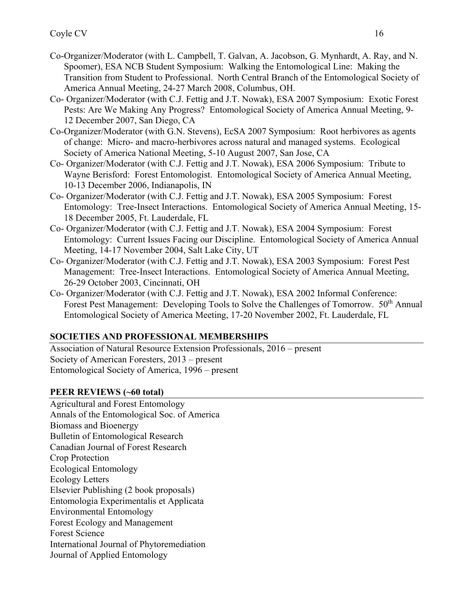- Co-Organizer/Moderator (with L. Campbell, T. Galvan, A. Jacobson, G. Mynhardt, A. Ray, and N. Spoomer), ESA NCB Student Symposium: Walking the Entomological Line: Making the Transition from Student to Professional. North Central Branch of the Entomological Society of America Annual Meeting, 24-27 March 2008, Columbus, OH.
- Co- Organizer/Moderator (with C.J. Fettig and J.T. Nowak), ESA 2007 Symposium: Exotic Forest Pests: Are We Making Any Progress? Entomological Society of America Annual Meeting, 9- 12 December 2007, San Diego, CA
- Co-Organizer/Moderator (with G.N. Stevens), EcSA 2007 Symposium: Root herbivores as agents of change: Micro- and macro-herbivores across natural and managed systems. Ecological Society of America National Meeting, 5-10 August 2007, San Jose, CA
- Co- Organizer/Moderator (with C.J. Fettig and J.T. Nowak), ESA 2006 Symposium: Tribute to Wayne Berisford: Forest Entomologist. Entomological Society of America Annual Meeting, 10-13 December 2006, Indianapolis, IN
- Co- Organizer/Moderator (with C.J. Fettig and J.T. Nowak), ESA 2005 Symposium: Forest Entomology: Tree-Insect Interactions. Entomological Society of America Annual Meeting, 15- 18 December 2005, Ft. Lauderdale, FL
- Co- Organizer/Moderator (with C.J. Fettig and J.T. Nowak), ESA 2004 Symposium: Forest Entomology: Current Issues Facing our Discipline. Entomological Society of America Annual Meeting, 14-17 November 2004, Salt Lake City, UT
- Co- Organizer/Moderator (with C.J. Fettig and J.T. Nowak), ESA 2003 Symposium: Forest Pest Management: Tree-Insect Interactions. Entomological Society of America Annual Meeting, 26-29 October 2003, Cincinnati, OH
- Co- Organizer/Moderator (with C.J. Fettig and J.T. Nowak), ESA 2002 Informal Conference: Forest Pest Management: Developing Tools to Solve the Challenges of Tomorrow. 50<sup>th</sup> Annual Entomological Society of America Meeting, 17-20 November 2002, Ft. Lauderdale, FL

# **SOCIETIES AND PROFESSIONAL MEMBERSHIPS**

Association of Natural Resource Extension Professionals, 2016 – present Society of American Foresters, 2013 – present Entomological Society of America, 1996 – present

# **PEER REVIEWS (~60 total)**

Agricultural and Forest Entomology Annals of the Entomological Soc. of America Biomass and Bioenergy Bulletin of Entomological Research Canadian Journal of Forest Research Crop Protection Ecological Entomology Ecology Letters Elsevier Publishing (2 book proposals) Entomologia Experimentalis et Applicata Environmental Entomology Forest Ecology and Management Forest Science International Journal of Phytoremediation Journal of Applied Entomology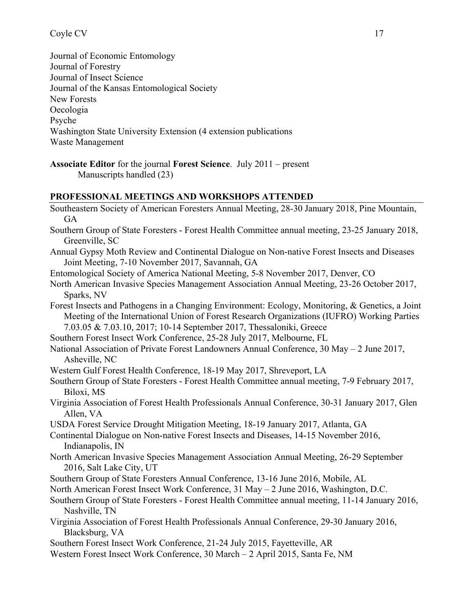## Coyle CV 17

Journal of Economic Entomology Journal of Forestry Journal of Insect Science Journal of the Kansas Entomological Society New Forests Oecologia Psyche Washington State University Extension (4 extension publications Waste Management

#### **PROFESSIONAL MEETINGS AND WORKSHOPS ATTENDED**

| Southeastern Society of American Foresters Annual Meeting, 28-30 January 2018, Pine Mountain,    |
|--------------------------------------------------------------------------------------------------|
| <b>GA</b>                                                                                        |
| Southern Group of State Foresters - Forest Health Committee annual meeting, 23-25 January 2018,  |
| Greenville, SC                                                                                   |
| Annual Gypsy Moth Review and Continental Dialogue on Non-native Forest Insects and Diseases      |
| Joint Meeting, 7-10 November 2017, Savannah, GA                                                  |
| Entomological Society of America National Meeting, 5-8 November 2017, Denver, CO                 |
| North American Invasive Species Management Association Annual Meeting, 23-26 October 2017,       |
| Sparks, NV                                                                                       |
| Forest Insects and Pathogens in a Changing Environment: Ecology, Monitoring, & Genetics, a Joint |
| Meeting of the International Union of Forest Research Organizations (IUFRO) Working Parties      |
| 7.03.05 & 7.03.10, 2017; 10-14 September 2017, Thessaloniki, Greece                              |
| Southern Forest Insect Work Conference, 25-28 July 2017, Melbourne, FL                           |
| National Association of Private Forest Landowners Annual Conference, 30 May - 2 June 2017,       |
| Asheville, NC                                                                                    |
| Western Gulf Forest Health Conference, 18-19 May 2017, Shreveport, LA                            |
| Southern Group of State Foresters - Forest Health Committee annual meeting, 7-9 February 2017,   |
| Biloxi, MS                                                                                       |
| Virginia Association of Forest Health Professionals Annual Conference, 30-31 January 2017, Glen  |
| Allen, VA                                                                                        |
| USDA Forest Service Drought Mitigation Meeting, 18-19 January 2017, Atlanta, GA                  |
| Continental Dialogue on Non-native Forest Insects and Diseases, 14-15 November 2016,             |
| Indianapolis, IN                                                                                 |
| North American Invasive Species Management Association Annual Meeting, 26-29 September           |
| 2016, Salt Lake City, UT                                                                         |
| Southern Group of State Foresters Annual Conference, 13-16 June 2016, Mobile, AL                 |
| North American Forest Insect Work Conference, 31 May - 2 June 2016, Washington, D.C.             |
| Southern Group of State Foresters - Forest Health Committee annual meeting, 11-14 January 2016,  |
| Nashville, TN                                                                                    |
| Virginia Association of Forest Health Professionals Annual Conference, 29-30 January 2016,       |
| Blacksburg, VA                                                                                   |
| Southern Forest Insect Work Conference, 21-24 July 2015, Fayetteville, AR                        |
| Western Forest Insect Work Conference, 30 March - 2 April 2015, Santa Fe, NM                     |
|                                                                                                  |
|                                                                                                  |

**Associate Editor** for the journal **Forest Science**. July 2011 – present Manuscripts handled (23)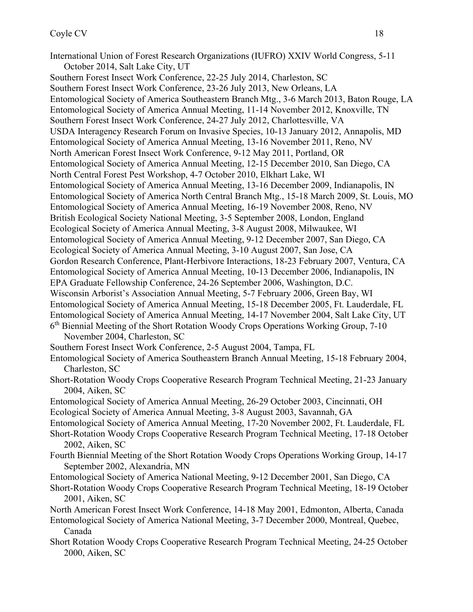International Union of Forest Research Organizations (IUFRO) XXIV World Congress, 5-11 October 2014, Salt Lake City, UT Southern Forest Insect Work Conference, 22-25 July 2014, Charleston, SC Southern Forest Insect Work Conference, 23-26 July 2013, New Orleans, LA Entomological Society of America Southeastern Branch Mtg., 3-6 March 2013, Baton Rouge, LA Entomological Society of America Annual Meeting, 11-14 November 2012, Knoxville, TN Southern Forest Insect Work Conference, 24-27 July 2012, Charlottesville, VA USDA Interagency Research Forum on Invasive Species, 10-13 January 2012, Annapolis, MD Entomological Society of America Annual Meeting, 13-16 November 2011, Reno, NV North American Forest Insect Work Conference, 9-12 May 2011, Portland, OR Entomological Society of America Annual Meeting, 12-15 December 2010, San Diego, CA North Central Forest Pest Workshop, 4-7 October 2010, Elkhart Lake, WI Entomological Society of America Annual Meeting, 13-16 December 2009, Indianapolis, IN Entomological Society of America North Central Branch Mtg., 15-18 March 2009, St. Louis, MO Entomological Society of America Annual Meeting, 16-19 November 2008, Reno, NV British Ecological Society National Meeting, 3-5 September 2008, London, England Ecological Society of America Annual Meeting, 3-8 August 2008, Milwaukee, WI Entomological Society of America Annual Meeting, 9-12 December 2007, San Diego, CA Ecological Society of America Annual Meeting, 3-10 August 2007, San Jose, CA Gordon Research Conference, Plant-Herbivore Interactions, 18-23 February 2007, Ventura, CA Entomological Society of America Annual Meeting, 10-13 December 2006, Indianapolis, IN EPA Graduate Fellowship Conference, 24-26 September 2006, Washington, D.C. Wisconsin Arborist's Association Annual Meeting, 5-7 February 2006, Green Bay, WI Entomological Society of America Annual Meeting, 15-18 December 2005, Ft. Lauderdale, FL Entomological Society of America Annual Meeting, 14-17 November 2004, Salt Lake City, UT 6th Biennial Meeting of the Short Rotation Woody Crops Operations Working Group, 7-10 November 2004, Charleston, SC Southern Forest Insect Work Conference, 2-5 August 2004, Tampa, FL Entomological Society of America Southeastern Branch Annual Meeting, 15-18 February 2004, Charleston, SC Short-Rotation Woody Crops Cooperative Research Program Technical Meeting, 21-23 January 2004, Aiken, SC Entomological Society of America Annual Meeting, 26-29 October 2003, Cincinnati, OH Ecological Society of America Annual Meeting, 3-8 August 2003, Savannah, GA Entomological Society of America Annual Meeting, 17-20 November 2002, Ft. Lauderdale, FL Short-Rotation Woody Crops Cooperative Research Program Technical Meeting, 17-18 October 2002, Aiken, SC Fourth Biennial Meeting of the Short Rotation Woody Crops Operations Working Group, 14-17 September 2002, Alexandria, MN Entomological Society of America National Meeting, 9-12 December 2001, San Diego, CA Short-Rotation Woody Crops Cooperative Research Program Technical Meeting, 18-19 October 2001, Aiken, SC

North American Forest Insect Work Conference, 14-18 May 2001, Edmonton, Alberta, Canada

Entomological Society of America National Meeting, 3-7 December 2000, Montreal, Quebec, Canada

Short Rotation Woody Crops Cooperative Research Program Technical Meeting, 24-25 October 2000, Aiken, SC